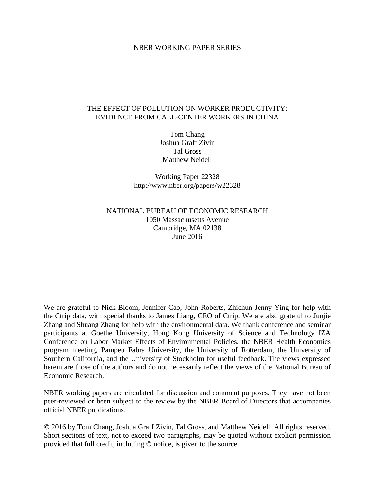## NBER WORKING PAPER SERIES

# THE EFFECT OF POLLUTION ON WORKER PRODUCTIVITY: EVIDENCE FROM CALL-CENTER WORKERS IN CHINA

Tom Chang Joshua Graff Zivin Tal Gross Matthew Neidell

Working Paper 22328 http://www.nber.org/papers/w22328

# NATIONAL BUREAU OF ECONOMIC RESEARCH 1050 Massachusetts Avenue Cambridge, MA 02138 June 2016

We are grateful to Nick Bloom, Jennifer Cao, John Roberts, Zhichun Jenny Ying for help with the Ctrip data, with special thanks to James Liang, CEO of Ctrip. We are also grateful to Junjie Zhang and Shuang Zhang for help with the environmental data. We thank conference and seminar participants at Goethe University, Hong Kong University of Science and Technology IZA Conference on Labor Market Effects of Environmental Policies, the NBER Health Economics program meeting, Pampeu Fabra University, the University of Rotterdam, the University of Southern California, and the University of Stockholm for useful feedback. The views expressed herein are those of the authors and do not necessarily reflect the views of the National Bureau of Economic Research.

NBER working papers are circulated for discussion and comment purposes. They have not been peer-reviewed or been subject to the review by the NBER Board of Directors that accompanies official NBER publications.

© 2016 by Tom Chang, Joshua Graff Zivin, Tal Gross, and Matthew Neidell. All rights reserved. Short sections of text, not to exceed two paragraphs, may be quoted without explicit permission provided that full credit, including © notice, is given to the source.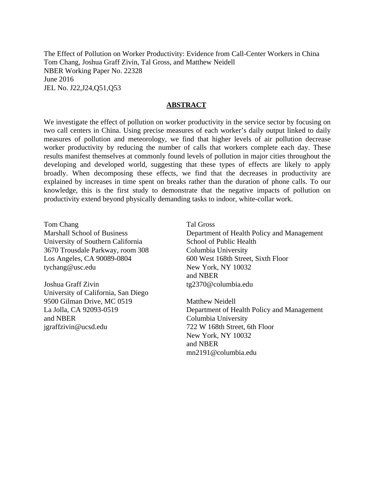The Effect of Pollution on Worker Productivity: Evidence from Call-Center Workers in China Tom Chang, Joshua Graff Zivin, Tal Gross, and Matthew Neidell NBER Working Paper No. 22328 June 2016 JEL No. J22,J24,Q51,Q53

## **ABSTRACT**

We investigate the effect of pollution on worker productivity in the service sector by focusing on two call centers in China. Using precise measures of each worker's daily output linked to daily measures of pollution and meteorology, we find that higher levels of air pollution decrease worker productivity by reducing the number of calls that workers complete each day. These results manifest themselves at commonly found levels of pollution in major cities throughout the developing and developed world, suggesting that these types of effects are likely to apply broadly. When decomposing these effects, we find that the decreases in productivity are explained by increases in time spent on breaks rather than the duration of phone calls. To our knowledge, this is the first study to demonstrate that the negative impacts of pollution on productivity extend beyond physically demanding tasks to indoor, white-collar work.

Tom Chang Marshall School of Business University of Southern California 3670 Trousdale Parkway, room 308 Los Angeles, CA 90089-0804 tychang@usc.edu

Joshua Graff Zivin University of California, San Diego 9500 Gilman Drive, MC 0519 La Jolla, CA 92093-0519 and NBER jgraffzivin@ucsd.edu

Tal Gross

Department of Health Policy and Management School of Public Health Columbia University 600 West 168th Street, Sixth Floor New York, NY 10032 and NBER tg2370@columbia.edu

Matthew Neidell Department of Health Policy and Management Columbia University 722 W 168th Street, 6th Floor New York, NY 10032 and NBER mn2191@columbia.edu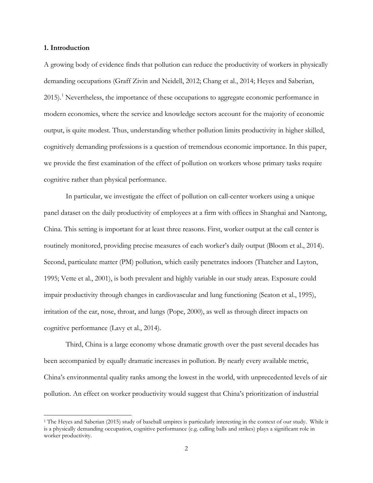### **1. Introduction**

 $\overline{\phantom{a}}$ 

A growing body of evidence finds that pollution can reduce the productivity of workers in physically demanding occupations (Graff Zivin and Neidell, 2012; Chang et al., 2014; Heyes and Saberian, 20[1](#page-2-0)5).<sup>1</sup> Nevertheless, the importance of these occupations to aggregate economic performance in modern economies, where the service and knowledge sectors account for the majority of economic output, is quite modest. Thus, understanding whether pollution limits productivity in higher skilled, cognitively demanding professions is a question of tremendous economic importance. In this paper, we provide the first examination of the effect of pollution on workers whose primary tasks require cognitive rather than physical performance.

In particular, we investigate the effect of pollution on call-center workers using a unique panel dataset on the daily productivity of employees at a firm with offices in Shanghai and Nantong, China. This setting is important for at least three reasons. First, worker output at the call center is routinely monitored, providing precise measures of each worker's daily output (Bloom et al., 2014). Second, particulate matter (PM) pollution, which easily penetrates indoors (Thatcher and Layton, 1995; Vette et al., 2001), is both prevalent and highly variable in our study areas. Exposure could impair productivity through changes in cardiovascular and lung functioning (Seaton et al., 1995), irritation of the ear, nose, throat, and lungs (Pope, 2000), as well as through direct impacts on cognitive performance (Lavy et al., 2014).

Third, China is a large economy whose dramatic growth over the past several decades has been accompanied by equally dramatic increases in pollution. By nearly every available metric, China's environmental quality ranks among the lowest in the world, with unprecedented levels of air pollution. An effect on worker productivity would suggest that China's prioritization of industrial

<span id="page-2-0"></span><sup>&</sup>lt;sup>1</sup> The Heyes and Saberian (2015) study of baseball umpires is particularly interesting in the context of our study. While it is a physically demanding occupation, cognitive performance (e.g. calling balls and strikes) plays a significant role in worker productivity.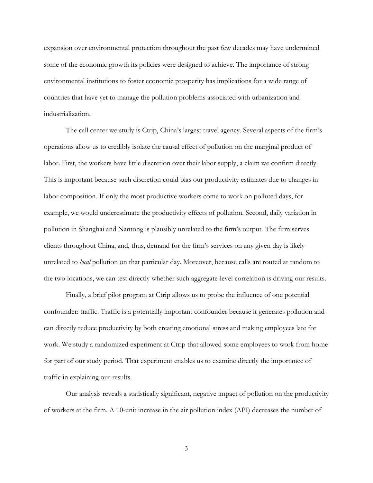expansion over environmental protection throughout the past few decades may have undermined some of the economic growth its policies were designed to achieve. The importance of strong environmental institutions to foster economic prosperity has implications for a wide range of countries that have yet to manage the pollution problems associated with urbanization and industrialization.

The call center we study is Ctrip, China's largest travel agency. Several aspects of the firm's operations allow us to credibly isolate the causal effect of pollution on the marginal product of labor. First, the workers have little discretion over their labor supply, a claim we confirm directly. This is important because such discretion could bias our productivity estimates due to changes in labor composition. If only the most productive workers come to work on polluted days, for example, we would underestimate the productivity effects of pollution. Second, daily variation in pollution in Shanghai and Nantong is plausibly unrelated to the firm's output. The firm serves clients throughout China, and, thus, demand for the firm's services on any given day is likely unrelated to *local* pollution on that particular day. Moreover, because calls are routed at random to the two locations, we can test directly whether such aggregate-level correlation is driving our results.

Finally, a brief pilot program at Ctrip allows us to probe the influence of one potential confounder: traffic. Traffic is a potentially important confounder because it generates pollution and can directly reduce productivity by both creating emotional stress and making employees late for work. We study a randomized experiment at Ctrip that allowed some employees to work from home for part of our study period. That experiment enables us to examine directly the importance of traffic in explaining our results.

Our analysis reveals a statistically significant, negative impact of pollution on the productivity of workers at the firm. A 10-unit increase in the air pollution index (API) decreases the number of

3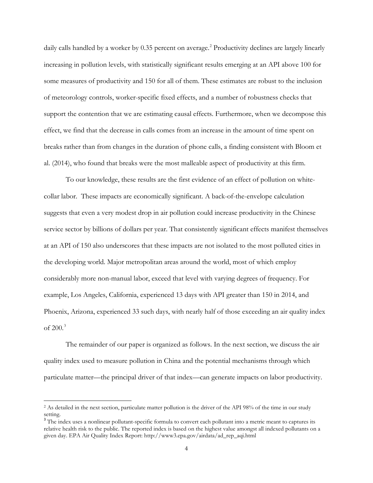daily calls handled by a worker by 0.35 percent on average.<sup>[2](#page-4-0)</sup> Productivity declines are largely linearly increasing in pollution levels, with statistically significant results emerging at an API above 100 for some measures of productivity and 150 for all of them. These estimates are robust to the inclusion of meteorology controls, worker-specific fixed effects, and a number of robustness checks that support the contention that we are estimating causal effects. Furthermore, when we decompose this effect, we find that the decrease in calls comes from an increase in the amount of time spent on breaks rather than from changes in the duration of phone calls, a finding consistent with Bloom et al. (2014), who found that breaks were the most malleable aspect of productivity at this firm.

To our knowledge, these results are the first evidence of an effect of pollution on whitecollar labor. These impacts are economically significant. A back-of-the-envelope calculation suggests that even a very modest drop in air pollution could increase productivity in the Chinese service sector by billions of dollars per year. That consistently significant effects manifest themselves at an API of 150 also underscores that these impacts are not isolated to the most polluted cities in the developing world. Major metropolitan areas around the world, most of which employ considerably more non-manual labor, exceed that level with varying degrees of frequency. For example, Los Angeles, California, experienced 13 days with API greater than 150 in 2014, and Phoenix, Arizona, experienced 33 such days, with nearly half of those exceeding an air quality index of  $200.<sup>3</sup>$  $200.<sup>3</sup>$  $200.<sup>3</sup>$ 

The remainder of our paper is organized as follows. In the next section, we discuss the air quality index used to measure pollution in China and the potential mechanisms through which particulate matter—the principal driver of that index—can generate impacts on labor productivity.

 $\overline{a}$ 

<span id="page-4-0"></span><sup>&</sup>lt;sup>2</sup> As detailed in the next section, particulate matter pollution is the driver of the API 98% of the time in our study setting.

<span id="page-4-1"></span><sup>&</sup>lt;sup>3</sup> The index uses a nonlinear pollutant-specific formula to convert each pollutant into a metric meant to captures its relative health risk to the public. The reported index is based on the highest value amongst all indexed pollutants on a given day. EPA Air Quality Index Report: http://www3.epa.gov/airdata/ad\_rep\_aqi.html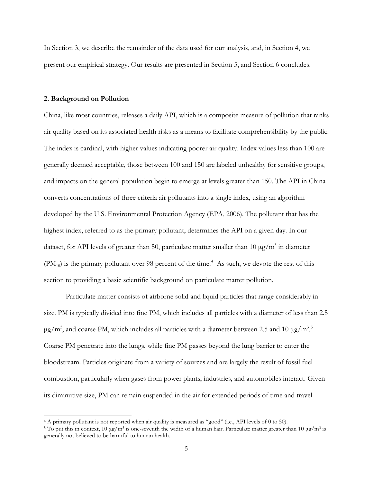In Section 3, we describe the remainder of the data used for our analysis, and, in Section 4, we present our empirical strategy. Our results are presented in Section 5, and Section 6 concludes.

#### **2. Background on Pollution**

 $\overline{\phantom{a}}$ 

China, like most countries, releases a daily API, which is a composite measure of pollution that ranks air quality based on its associated health risks as a means to facilitate comprehensibility by the public. The index is cardinal, with higher values indicating poorer air quality. Index values less than 100 are generally deemed acceptable, those between 100 and 150 are labeled unhealthy for sensitive groups, and impacts on the general population begin to emerge at levels greater than 150. The API in China converts concentrations of three criteria air pollutants into a single index, using an algorithm developed by the U.S. Environmental Protection Agency (EPA, 2006). The pollutant that has the highest index, referred to as the primary pollutant, determines the API on a given day. In our dataset, for API levels of greater than 50, particulate matter smaller than 10  $\mu$ g/m<sup>3</sup> in diameter  $(PM_{10})$  is the primary pollutant over 98 percent of the time.<sup>[4](#page-5-0)</sup> As such, we devote the rest of this section to providing a basic scientific background on particulate matter pollution.

Particulate matter consists of airborne solid and liquid particles that range considerably in size. PM is typically divided into fine PM, which includes all particles with a diameter of less than 2.5 μg/m<sup>3</sup>, and coarse PM, which includes all particles with a diameter between 2.[5](#page-5-1) and 10 μg/m<sup>3</sup>.<sup>5</sup> Coarse PM penetrate into the lungs, while fine PM passes beyond the lung barrier to enter the bloodstream. Particles originate from a variety of sources and are largely the result of fossil fuel combustion, particularly when gases from power plants, industries, and automobiles interact. Given its diminutive size, PM can remain suspended in the air for extended periods of time and travel

<span id="page-5-1"></span><span id="page-5-0"></span><sup>&</sup>lt;sup>4</sup> A primary pollutant is not reported when air quality is measured as "good" (i.e., API levels of 0 to 50).<br><sup>5</sup> To put this in context, 10  $\mu$ g/m<sup>3</sup> is one-seventh the width of a human hair. Particulate matter greater generally not believed to be harmful to human health.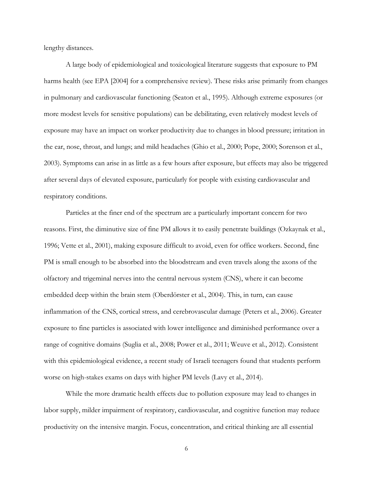lengthy distances.

A large body of epidemiological and toxicological literature suggests that exposure to PM harms health (see EPA [2004] for a comprehensive review). These risks arise primarily from changes in pulmonary and cardiovascular functioning (Seaton et al., 1995). Although extreme exposures (or more modest levels for sensitive populations) can be debilitating, even relatively modest levels of exposure may have an impact on worker productivity due to changes in blood pressure; irritation in the ear, nose, throat, and lungs; and mild headaches (Ghio et al., 2000; Pope, 2000; Sorenson et al., 2003). Symptoms can arise in as little as a few hours after exposure, but effects may also be triggered after several days of elevated exposure, particularly for people with existing cardiovascular and respiratory conditions.

Particles at the finer end of the spectrum are a particularly important concern for two reasons. First, the diminutive size of fine PM allows it to easily penetrate buildings (Ozkaynak et al., 1996; Vette et al., 2001), making exposure difficult to avoid, even for office workers. Second, fine PM is small enough to be absorbed into the bloodstream and even travels along the axons of the olfactory and trigeminal nerves into the central nervous system (CNS), where it can become embedded deep within the brain stem (Oberdörster et al., 2004). This, in turn, can cause inflammation of the CNS, cortical stress, and cerebrovascular damage (Peters et al., 2006). Greater exposure to fine particles is associated with lower intelligence and diminished performance over a range of cognitive domains (Suglia et al., 2008; Power et al., 2011; Weuve et al., 2012). Consistent with this epidemiological evidence, a recent study of Israeli teenagers found that students perform worse on high-stakes exams on days with higher PM levels (Lavy et al., 2014).

While the more dramatic health effects due to pollution exposure may lead to changes in labor supply, milder impairment of respiratory, cardiovascular, and cognitive function may reduce productivity on the intensive margin. Focus, concentration, and critical thinking are all essential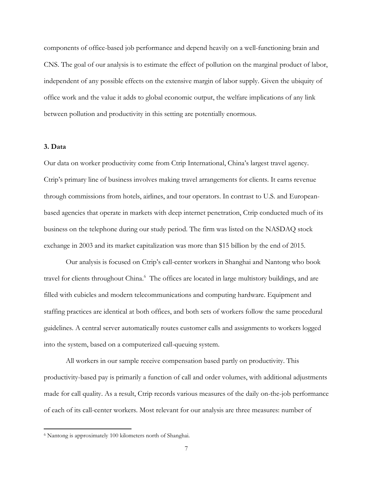components of office-based job performance and depend heavily on a well-functioning brain and CNS. The goal of our analysis is to estimate the effect of pollution on the marginal product of labor, independent of any possible effects on the extensive margin of labor supply. Given the ubiquity of office work and the value it adds to global economic output, the welfare implications of any link between pollution and productivity in this setting are potentially enormous.

#### **3. Data**

l

Our data on worker productivity come from Ctrip International, China's largest travel agency. Ctrip's primary line of business involves making travel arrangements for clients. It earns revenue through commissions from hotels, airlines, and tour operators. In contrast to U.S. and Europeanbased agencies that operate in markets with deep internet penetration, Ctrip conducted much of its business on the telephone during our study period. The firm was listed on the NASDAQ stock exchange in 2003 and its market capitalization was more than \$15 billion by the end of 2015.

Our analysis is focused on Ctrip's call-center workers in Shanghai and Nantong who book travel for clients throughout China.<sup>6</sup> The offices are located in large multistory buildings, and are filled with cubicles and modern telecommunications and computing hardware. Equipment and staffing practices are identical at both offices, and both sets of workers follow the same procedural guidelines. A central server automatically routes customer calls and assignments to workers logged into the system, based on a computerized call-queuing system.

All workers in our sample receive compensation based partly on productivity. This productivity-based pay is primarily a function of call and order volumes, with additional adjustments made for call quality. As a result, Ctrip records various measures of the daily on-the-job performance of each of its call-center workers. Most relevant for our analysis are three measures: number of

<span id="page-7-0"></span><sup>6</sup> Nantong is approximately 100 kilometers north of Shanghai.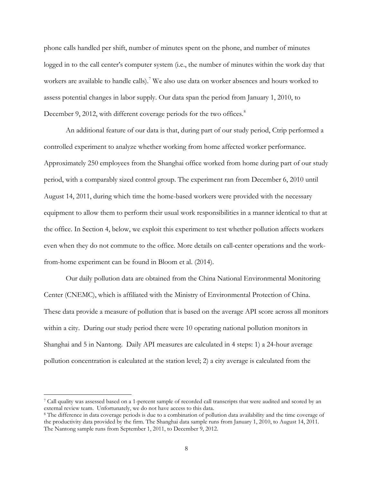phone calls handled per shift, number of minutes spent on the phone, and number of minutes logged in to the call center's computer system (i.e., the number of minutes within the work day that workers are available to handle calls).<sup>[7](#page-8-0)</sup> We also use data on worker absences and hours worked to assess potential changes in labor supply. Our data span the period from January 1, 2010, to December 9, 2012, with different coverage periods for the two offices.<sup>[8](#page-8-1)</sup>

An additional feature of our data is that, during part of our study period, Ctrip performed a controlled experiment to analyze whether working from home affected worker performance. Approximately 250 employees from the Shanghai office worked from home during part of our study period, with a comparably sized control group. The experiment ran from December 6, 2010 until August 14, 2011, during which time the home-based workers were provided with the necessary equipment to allow them to perform their usual work responsibilities in a manner identical to that at the office. In Section 4, below, we exploit this experiment to test whether pollution affects workers even when they do not commute to the office. More details on call-center operations and the workfrom-home experiment can be found in Bloom et al. (2014).

Our daily pollution data are obtained from the China National Environmental Monitoring Center (CNEMC), which is affiliated with the Ministry of Environmental Protection of China. These data provide a measure of pollution that is based on the average API score across all monitors within a city. During our study period there were 10 operating national pollution monitors in Shanghai and 5 in Nantong. Daily API measures are calculated in 4 steps: 1) a 24-hour average pollution concentration is calculated at the station level; 2) a city average is calculated from the

 $\overline{\phantom{a}}$ 

<span id="page-8-0"></span><sup>7</sup> Call quality was assessed based on a 1-percent sample of recorded call transcripts that were audited and scored by an external review team. Unfortunately, we do not have access to this data.

<span id="page-8-1"></span><sup>8</sup> The difference in data coverage periods is due to a combination of pollution data availability and the time coverage of the productivity data provided by the firm. The Shanghai data sample runs from January 1, 2010, to August 14, 2011. The Nantong sample runs from September 1, 2011, to December 9, 2012.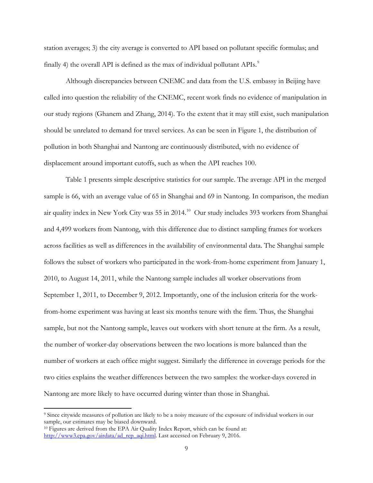station averages; 3) the city average is converted to API based on pollutant specific formulas; and finally 4) the overall API is defined as the max of individual pollutant APIs. $\degree$ 

Although discrepancies between CNEMC and data from the U.S. embassy in Beijing have called into question the reliability of the CNEMC, recent work finds no evidence of manipulation in our study regions (Ghanem and Zhang, 2014). To the extent that it may still exist, such manipulation should be unrelated to demand for travel services. As can be seen in Figure 1, the distribution of pollution in both Shanghai and Nantong are continuously distributed, with no evidence of displacement around important cutoffs, such as when the API reaches 100.

Table 1 presents simple descriptive statistics for our sample. The average API in the merged sample is 66, with an average value of 65 in Shanghai and 69 in Nantong. In comparison, the median air quality index in New York City was 55 in 2014.<sup>10</sup> Our study includes 393 workers from Shanghai and 4,499 workers from Nantong, with this difference due to distinct sampling frames for workers across facilities as well as differences in the availability of environmental data. The Shanghai sample follows the subset of workers who participated in the work-from-home experiment from January 1, 2010, to August 14, 2011, while the Nantong sample includes all worker observations from September 1, 2011, to December 9, 2012. Importantly, one of the inclusion criteria for the workfrom-home experiment was having at least six months tenure with the firm. Thus, the Shanghai sample, but not the Nantong sample, leaves out workers with short tenure at the firm. As a result, the number of worker-day observations between the two locations is more balanced than the number of workers at each office might suggest. Similarly the difference in coverage periods for the two cities explains the weather differences between the two samples: the worker-days covered in Nantong are more likely to have occurred during winter than those in Shanghai.

 $\overline{\phantom{a}}$ 

<span id="page-9-0"></span><sup>9</sup> Since citywide measures of pollution are likely to be a noisy measure of the exposure of individual workers in our sample, our estimates may be biased downward.

<span id="page-9-1"></span><sup>&</sup>lt;sup>10</sup> Figures are derived from the EPA Air Quality Index Report, which can be found at: [http://www3.epa.gov/airdata/ad\\_rep\\_aqi.html.](http://www3.epa.gov/airdata/ad_rep_aqi.html) Last accessed on February 9, 2016.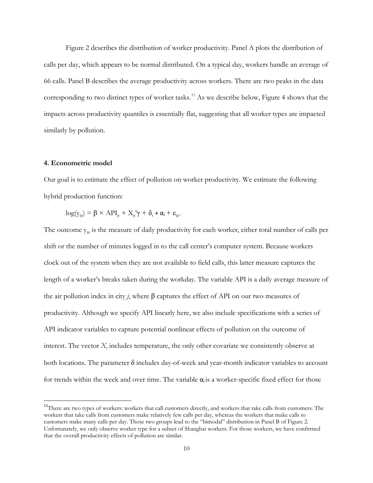Figure 2 describes the distribution of worker productivity. Panel A plots the distribution of calls per day, which appears to be normal distributed. On a typical day, workers handle an average of 66 calls. Panel B describes the average productivity across workers. There are two peaks in the data corresponding to two distinct types of worker tasks.<sup>[11](#page-10-0)</sup> As we describe below, Figure 4 shows that the impacts across productivity quantiles is essentially flat, suggesting that all worker types are impacted similarly by pollution.

#### **4. Econometric model**

 $\overline{a}$ 

Our goal is to estimate the effect of pollution on worker productivity. We estimate the following hybrid production function:

$$
\log(y_{ijt}) = \beta \times \mathrm{API}_{jt} + X_{jt}\gamma + \delta_t + \alpha_i + \epsilon_{ijt}.
$$

The outcome  $y_{ijt}$  is the measure of daily productivity for each worker, either total number of calls per shift or the number of minutes logged in to the call center's computer system. Because workers clock out of the system when they are not available to field calls, this latter measure captures the length of a worker's breaks taken during the workday. The variable API is a daily average measure of the air pollution index in city *j*, where β captures the effect of API on our two measures of productivity. Although we specify API linearly here, we also include specifications with a series of API indicator variables to capture potential nonlinear effects of pollution on the outcome of interest. The vector  $X_t$  includes temperature, the only other covariate we consistently observe at both locations. The parameter  $\delta$  includes day-of-week and year-month indicator variables to account for trends within the week and over time. The variable  $\alpha_i$  is a worker-specific fixed effect for those

<span id="page-10-0"></span><sup>&</sup>lt;sup>11</sup>There are two types of workers: workers that call customers directly, and workers that take calls from customers. The workers that take calls from customers make relatively few calls per day, whereas the workers that make calls to customers make many calls per day. Those two groups lead to the "bimodal" distribution in Panel B of Figure 2. Unfortunately, we only observe worker type for a subset of Shanghai workers. For those workers, we have confirmed that the overall productivity effects of pollution are similar.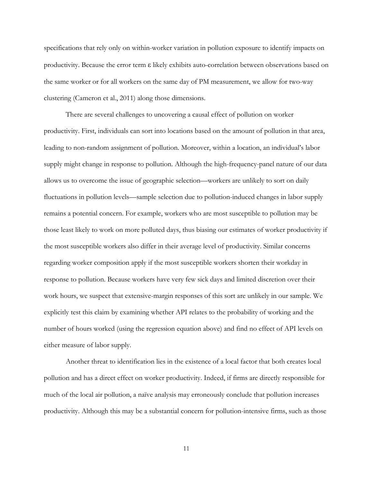specifications that rely only on within-worker variation in pollution exposure to identify impacts on productivity. Because the error term ε likely exhibits auto-correlation between observations based on the same worker or for all workers on the same day of PM measurement, we allow for two-way clustering (Cameron et al., 2011) along those dimensions.

There are several challenges to uncovering a causal effect of pollution on worker productivity. First, individuals can sort into locations based on the amount of pollution in that area, leading to non-random assignment of pollution. Moreover, within a location, an individual's labor supply might change in response to pollution. Although the high-frequency-panel nature of our data allows us to overcome the issue of geographic selection—workers are unlikely to sort on daily fluctuations in pollution levels—sample selection due to pollution-induced changes in labor supply remains a potential concern. For example, workers who are most susceptible to pollution may be those least likely to work on more polluted days, thus biasing our estimates of worker productivity if the most susceptible workers also differ in their average level of productivity. Similar concerns regarding worker composition apply if the most susceptible workers shorten their workday in response to pollution. Because workers have very few sick days and limited discretion over their work hours, we suspect that extensive-margin responses of this sort are unlikely in our sample. We explicitly test this claim by examining whether API relates to the probability of working and the number of hours worked (using the regression equation above) and find no effect of API levels on either measure of labor supply.

Another threat to identification lies in the existence of a local factor that both creates local pollution and has a direct effect on worker productivity. Indeed, if firms are directly responsible for much of the local air pollution, a naïve analysis may erroneously conclude that pollution increases productivity. Although this may be a substantial concern for pollution-intensive firms, such as those

11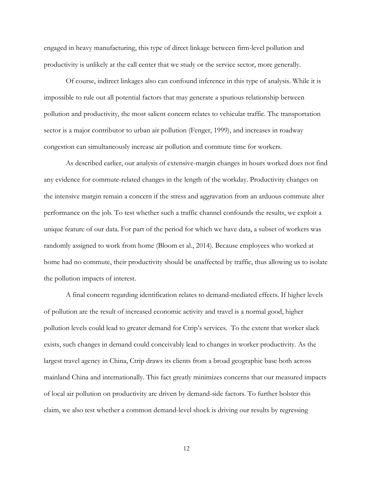engaged in heavy manufacturing, this type of direct linkage between firm-level pollution and productivity is unlikely at the call center that we study or the service sector, more generally.

Of course, indirect linkages also can confound inference in this type of analysis. While it is impossible to rule out all potential factors that may generate a spurious relationship between pollution and productivity, the most salient concern relates to vehicular traffic. The transportation sector is a major contributor to urban air pollution (Fenger, 1999), and increases in roadway congestion can simultaneously increase air pollution and commute time for workers.

As described earlier, our analysis of extensive-margin changes in hours worked does not find any evidence for commute-related changes in the length of the workday. Productivity changes on the intensive margin remain a concern if the stress and aggravation from an arduous commute alter performance on the job. To test whether such a traffic channel confounds the results, we exploit a unique feature of our data. For part of the period for which we have data, a subset of workers was randomly assigned to work from home (Bloom et al., 2014). Because employees who worked at home had no commute, their productivity should be unaffected by traffic, thus allowing us to isolate the pollution impacts of interest.

A final concern regarding identification relates to demand-mediated effects. If higher levels of pollution are the result of increased economic activity and travel is a normal good, higher pollution levels could lead to greater demand for Ctrip's services. To the extent that worker slack exists, such changes in demand could conceivably lead to changes in worker productivity. As the largest travel agency in China, Ctrip draws its clients from a broad geographic base both across mainland China and internationally. This fact greatly minimizes concerns that our measured impacts of local air pollution on productivity are driven by demand-side factors. To further bolster this claim, we also test whether a common demand-level shock is driving our results by regressing

12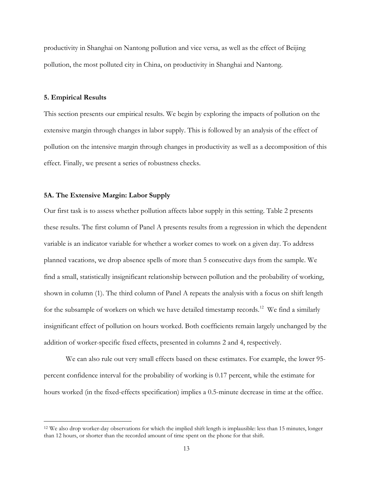productivity in Shanghai on Nantong pollution and vice versa, as well as the effect of Beijing pollution, the most polluted city in China, on productivity in Shanghai and Nantong.

### **5. Empirical Results**

l

This section presents our empirical results. We begin by exploring the impacts of pollution on the extensive margin through changes in labor supply. This is followed by an analysis of the effect of pollution on the intensive margin through changes in productivity as well as a decomposition of this effect. Finally, we present a series of robustness checks.

## **5A. The Extensive Margin: Labor Supply**

Our first task is to assess whether pollution affects labor supply in this setting. Table 2 presents these results. The first column of Panel A presents results from a regression in which the dependent variable is an indicator variable for whether a worker comes to work on a given day. To address planned vacations, we drop absence spells of more than 5 consecutive days from the sample. We find a small, statistically insignificant relationship between pollution and the probability of working, shown in column (1). The third column of Panel A repeats the analysis with a focus on shift length for the subsample of workers on which we have detailed timestamp records.<sup>12</sup> We find a similarly insignificant effect of pollution on hours worked. Both coefficients remain largely unchanged by the addition of worker-specific fixed effects, presented in columns 2 and 4, respectively.

We can also rule out very small effects based on these estimates. For example, the lower 95 percent confidence interval for the probability of working is 0.17 percent, while the estimate for hours worked (in the fixed-effects specification) implies a 0.5-minute decrease in time at the office.

<span id="page-13-0"></span><sup>12</sup> We also drop worker-day observations for which the implied shift length is implausible: less than 15 minutes, longer than 12 hours, or shorter than the recorded amount of time spent on the phone for that shift.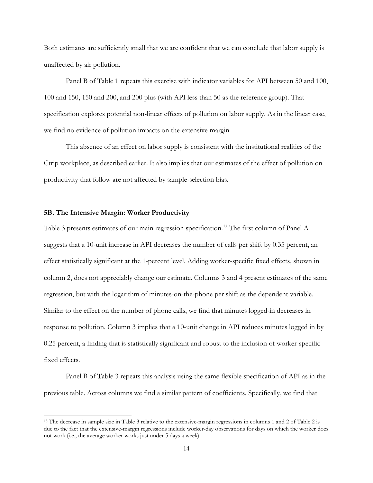Both estimates are sufficiently small that we are confident that we can conclude that labor supply is unaffected by air pollution.

Panel B of Table 1 repeats this exercise with indicator variables for API between 50 and 100, 100 and 150, 150 and 200, and 200 plus (with API less than 50 as the reference group). That specification explores potential non-linear effects of pollution on labor supply. As in the linear case, we find no evidence of pollution impacts on the extensive margin.

This absence of an effect on labor supply is consistent with the institutional realities of the Ctrip workplace, as described earlier. It also implies that our estimates of the effect of pollution on productivity that follow are not affected by sample-selection bias.

### **5B. The Intensive Margin: Worker Productivity**

 $\overline{\phantom{a}}$ 

Table 3 presents estimates of our main regression specification.<sup>13</sup> The first column of Panel A suggests that a 10-unit increase in API decreases the number of calls per shift by 0.35 percent, an effect statistically significant at the 1-percent level. Adding worker-specific fixed effects, shown in column 2, does not appreciably change our estimate. Columns 3 and 4 present estimates of the same regression, but with the logarithm of minutes-on-the-phone per shift as the dependent variable. Similar to the effect on the number of phone calls, we find that minutes logged-in decreases in response to pollution. Column 3 implies that a 10-unit change in API reduces minutes logged in by 0.25 percent, a finding that is statistically significant and robust to the inclusion of worker-specific fixed effects.

Panel B of Table 3 repeats this analysis using the same flexible specification of API as in the previous table. Across columns we find a similar pattern of coefficients. Specifically, we find that

<span id="page-14-0"></span><sup>&</sup>lt;sup>13</sup> The decrease in sample size in Table 3 relative to the extensive-margin regressions in columns 1 and 2 of Table 2 is due to the fact that the extensive-margin regressions include worker-day observations for days on which the worker does not work (i.e., the average worker works just under 5 days a week).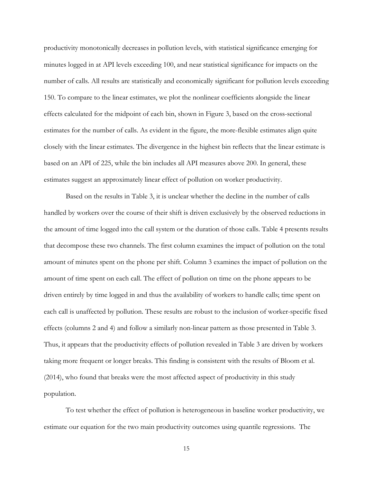productivity monotonically decreases in pollution levels, with statistical significance emerging for minutes logged in at API levels exceeding 100, and near statistical significance for impacts on the number of calls. All results are statistically and economically significant for pollution levels exceeding 150. To compare to the linear estimates, we plot the nonlinear coefficients alongside the linear effects calculated for the midpoint of each bin, shown in Figure 3, based on the cross-sectional estimates for the number of calls. As evident in the figure, the more-flexible estimates align quite closely with the linear estimates. The divergence in the highest bin reflects that the linear estimate is based on an API of 225, while the bin includes all API measures above 200. In general, these estimates suggest an approximately linear effect of pollution on worker productivity.

Based on the results in Table 3, it is unclear whether the decline in the number of calls handled by workers over the course of their shift is driven exclusively by the observed reductions in the amount of time logged into the call system or the duration of those calls. Table 4 presents results that decompose these two channels. The first column examines the impact of pollution on the total amount of minutes spent on the phone per shift. Column 3 examines the impact of pollution on the amount of time spent on each call. The effect of pollution on time on the phone appears to be driven entirely by time logged in and thus the availability of workers to handle calls; time spent on each call is unaffected by pollution. These results are robust to the inclusion of worker-specific fixed effects (columns 2 and 4) and follow a similarly non-linear pattern as those presented in Table 3. Thus, it appears that the productivity effects of pollution revealed in Table 3 are driven by workers taking more frequent or longer breaks. This finding is consistent with the results of Bloom et al. (2014), who found that breaks were the most affected aspect of productivity in this study population.

To test whether the effect of pollution is heterogeneous in baseline worker productivity, we estimate our equation for the two main productivity outcomes using quantile regressions. The

15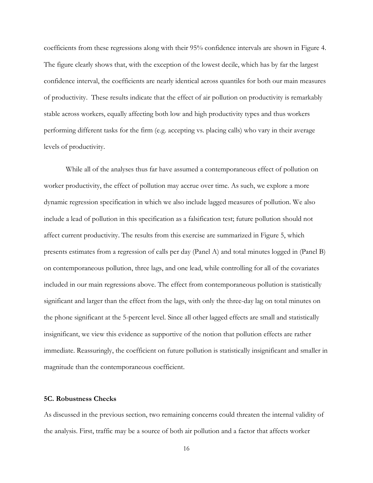coefficients from these regressions along with their 95% confidence intervals are shown in Figure 4. The figure clearly shows that, with the exception of the lowest decile, which has by far the largest confidence interval, the coefficients are nearly identical across quantiles for both our main measures of productivity. These results indicate that the effect of air pollution on productivity is remarkably stable across workers, equally affecting both low and high productivity types and thus workers performing different tasks for the firm (e.g. accepting vs. placing calls) who vary in their average levels of productivity.

While all of the analyses thus far have assumed a contemporaneous effect of pollution on worker productivity, the effect of pollution may accrue over time. As such, we explore a more dynamic regression specification in which we also include lagged measures of pollution. We also include a lead of pollution in this specification as a falsification test; future pollution should not affect current productivity. The results from this exercise are summarized in Figure 5, which presents estimates from a regression of calls per day (Panel A) and total minutes logged in (Panel B) on contemporaneous pollution, three lags, and one lead, while controlling for all of the covariates included in our main regressions above. The effect from contemporaneous pollution is statistically significant and larger than the effect from the lags, with only the three-day lag on total minutes on the phone significant at the 5-percent level. Since all other lagged effects are small and statistically insignificant, we view this evidence as supportive of the notion that pollution effects are rather immediate. Reassuringly, the coefficient on future pollution is statistically insignificant and smaller in magnitude than the contemporaneous coefficient.

#### **5C. Robustness Checks**

As discussed in the previous section, two remaining concerns could threaten the internal validity of the analysis. First, traffic may be a source of both air pollution and a factor that affects worker

16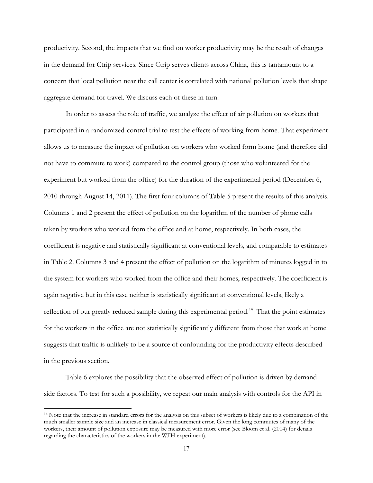productivity. Second, the impacts that we find on worker productivity may be the result of changes in the demand for Ctrip services. Since Ctrip serves clients across China, this is tantamount to a concern that local pollution near the call center is correlated with national pollution levels that shape aggregate demand for travel. We discuss each of these in turn.

In order to assess the role of traffic, we analyze the effect of air pollution on workers that participated in a randomized-control trial to test the effects of working from home. That experiment allows us to measure the impact of pollution on workers who worked form home (and therefore did not have to commute to work) compared to the control group (those who volunteered for the experiment but worked from the office) for the duration of the experimental period (December 6, 2010 through August 14, 2011). The first four columns of Table 5 present the results of this analysis. Columns 1 and 2 present the effect of pollution on the logarithm of the number of phone calls taken by workers who worked from the office and at home, respectively. In both cases, the coefficient is negative and statistically significant at conventional levels, and comparable to estimates in Table 2. Columns 3 and 4 present the effect of pollution on the logarithm of minutes logged in to the system for workers who worked from the office and their homes, respectively. The coefficient is again negative but in this case neither is statistically significant at conventional levels, likely a reflection of our greatly reduced sample during this experimental period.<sup>[14](#page-17-0)</sup> That the point estimates for the workers in the office are not statistically significantly different from those that work at home suggests that traffic is unlikely to be a source of confounding for the productivity effects described in the previous section.

Table 6 explores the possibility that the observed effect of pollution is driven by demandside factors. To test for such a possibility, we repeat our main analysis with controls for the API in

 $\overline{\phantom{a}}$ 

<span id="page-17-0"></span><sup>14</sup> Note that the increase in standard errors for the analysis on this subset of workers is likely due to a combination of the much smaller sample size and an increase in classical measurement error. Given the long commutes of many of the workers, their amount of pollution exposure may be measured with more error (see Bloom et al. (2014) for details regarding the characteristics of the workers in the WFH experiment).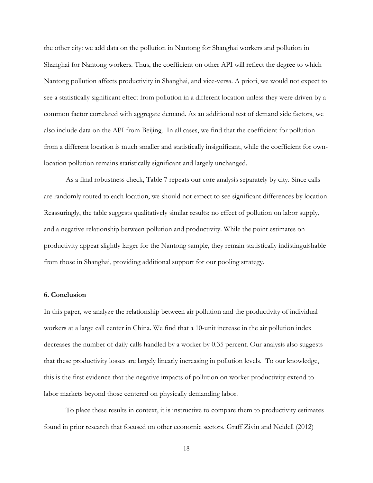the other city: we add data on the pollution in Nantong for Shanghai workers and pollution in Shanghai for Nantong workers. Thus, the coefficient on other API will reflect the degree to which Nantong pollution affects productivity in Shanghai, and vice-versa. A priori, we would not expect to see a statistically significant effect from pollution in a different location unless they were driven by a common factor correlated with aggregate demand. As an additional test of demand side factors, we also include data on the API from Beijing. In all cases, we find that the coefficient for pollution from a different location is much smaller and statistically insignificant, while the coefficient for ownlocation pollution remains statistically significant and largely unchanged.

As a final robustness check, Table 7 repeats our core analysis separately by city. Since calls are randomly routed to each location, we should not expect to see significant differences by location. Reassuringly, the table suggests qualitatively similar results: no effect of pollution on labor supply, and a negative relationship between pollution and productivity. While the point estimates on productivity appear slightly larger for the Nantong sample, they remain statistically indistinguishable from those in Shanghai, providing additional support for our pooling strategy.

## **6. Conclusion**

In this paper, we analyze the relationship between air pollution and the productivity of individual workers at a large call center in China. We find that a 10-unit increase in the air pollution index decreases the number of daily calls handled by a worker by 0.35 percent. Our analysis also suggests that these productivity losses are largely linearly increasing in pollution levels. To our knowledge, this is the first evidence that the negative impacts of pollution on worker productivity extend to labor markets beyond those centered on physically demanding labor.

To place these results in context, it is instructive to compare them to productivity estimates found in prior research that focused on other economic sectors. Graff Zivin and Neidell (2012)

18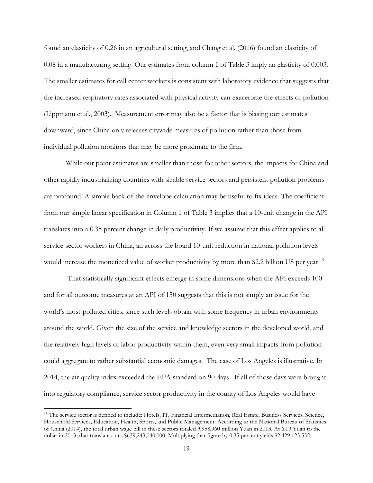found an elasticity of 0.26 in an agricultural setting, and Chang et al. (2016) found an elasticity of 0.08 in a manufacturing setting. Our estimates from column 1 of Table 3 imply an elasticity of 0.003. The smaller estimates for call center workers is consistent with laboratory evidence that suggests that the increased respiratory rates associated with physical activity can exacerbate the effects of pollution (Lippmann et al., 2003). Measurement error may also be a factor that is biasing our estimates downward, since China only releases citywide measures of pollution rather than those from individual pollution monitors that may be more proximate to the firm.

While our point estimates are smaller than those for other sectors, the impacts for China and other rapidly industrializing countries with sizable service sectors and persistent pollution problems are profound. A simple back-of-the-envelope calculation may be useful to fix ideas. The coefficient from our simple linear specification in Column 1 of Table 3 implies that a 10-unit change in the API translates into a 0.35 percent change in daily productivity. If we assume that this effect applies to all service-sector workers in China, an across the board 10-unit reduction in national pollution levels would increase the monetized value of worker productivity by more than \$2.2 billion US per year.<sup>[15](#page-19-0)</sup>

That statistically significant effects emerge in some dimensions when the API exceeds 100 and for all outcome measures at an API of 150 suggests that this is not simply an issue for the world's most-polluted cities, since such levels obtain with some frequency in urban environments around the world. Given the size of the service and knowledge sectors in the developed world, and the relatively high levels of labor productivity within them, even very small impacts from pollution could aggregate to rather substantial economic damages. The case of Los Angeles is illustrative. In 2014, the air quality index exceeded the EPA standard on 90 days. If all of those days were brought into regulatory compliance, service sector productivity in the county of Los Angeles would have

 $\overline{\phantom{a}}$ 

<span id="page-19-0"></span><sup>15</sup> The service sector is defined to include: Hotels, IT, Financial Intermediation, Real Estate, Business Services, Science, Household Services, Education, Health, Sports, and Public Management. According to the National Bureau of Statistics of China (2014), the total urban wage bill in these sectors totaled 3,958,960 million Yuan in 2013. At 6.19 Yuan to the dollar in 2013, that translates into \$639,243,040,000. Multiplying that figure by 0.35 percent yields \$2,429,123,552.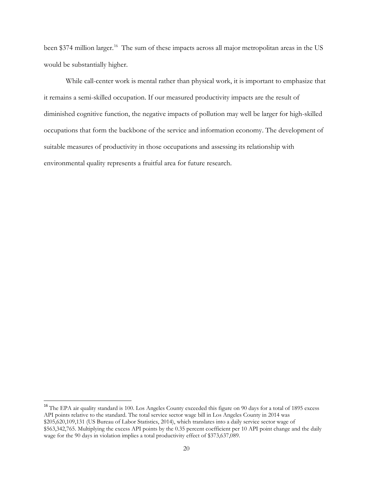been \$374 million larger.<sup>16</sup> The sum of these impacts across all major metropolitan areas in the US would be substantially higher.

While call-center work is mental rather than physical work, it is important to emphasize that it remains a semi-skilled occupation. If our measured productivity impacts are the result of diminished cognitive function, the negative impacts of pollution may well be larger for high-skilled occupations that form the backbone of the service and information economy. The development of suitable measures of productivity in those occupations and assessing its relationship with environmental quality represents a fruitful area for future research.

 $\overline{a}$ 

<span id="page-20-0"></span><sup>&</sup>lt;sup>16</sup> The EPA air quality standard is 100. Los Angeles County exceeded this figure on 90 days for a total of 1895 excess API points relative to the standard. The total service sector wage bill in Los Angeles County in 2014 was \$205,620,109,131 (US Bureau of Labor Statistics, 2014), which translates into a daily service sector wage of \$563,342,765. Multiplying the excess API points by the 0.35 percent coefficient per 10 API point change and the daily wage for the 90 days in violation implies a total productivity effect of \$373,637,089.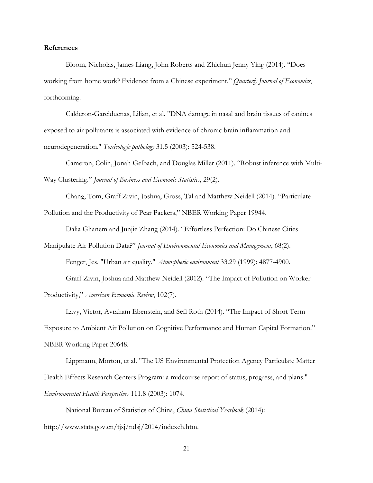#### **References**

Bloom, Nicholas, James Liang, John Roberts and Zhichun Jenny Ying (2014). "Does working from home work? Evidence from a Chinese experiment." *Quarterly Journal of Economics*, forthcoming.

Calderon-Garciduenas, Lilian, et al. "DNA damage in nasal and brain tissues of canines exposed to air pollutants is associated with evidence of chronic brain inflammation and neurodegeneration." *Toxicologic pathology* 31.5 (2003): 524-538.

Cameron, Colin, Jonah Gelbach, and Douglas Miller (2011). "Robust inference with Multi-Way Clustering." *Journal of Business and Economic Statistics*, 29(2).

Chang, Tom, Graff Zivin, Joshua, Gross, Tal and Matthew Neidell (2014). "Particulate Pollution and the Productivity of Pear Packers," NBER Working Paper 19944.

Dalia Ghanem and Junjie Zhang (2014). "Effortless Perfection: Do Chinese Cities

Manipulate Air Pollution Data?" *Journal of Environmental Economics and Management*, 68(2).

Fenger, Jes. "Urban air quality." *Atmospheric environment* 33.29 (1999): 4877-4900.

Graff Zivin, Joshua and Matthew Neidell (2012). "The Impact of Pollution on Worker Productivity," *American Economic Review*, 102(7).

Lavy, Victor, Avraham Ebenstein, and Sefi Roth (2014). "The Impact of Short Term Exposure to Ambient Air Pollution on Cognitive Performance and Human Capital Formation." NBER Working Paper 20648.

Lippmann, Morton, et al. "The US Environmental Protection Agency Particulate Matter Health Effects Research Centers Program: a midcourse report of status, progress, and plans." *Environmental Health Perspectives* 111.8 (2003): 1074.

National Bureau of Statistics of China, *China Statistical Yearbook* (2014): http://www.stats.gov.cn/tjsj/ndsj/2014/indexeh.htm.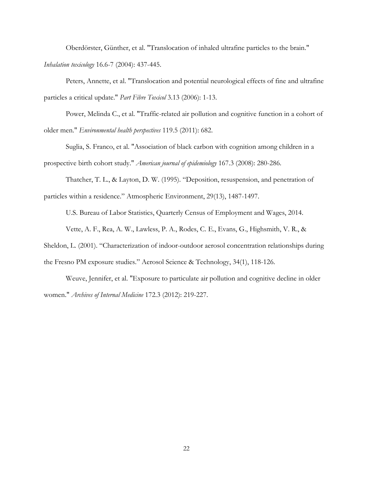Oberdörster, Günther, et al. "Translocation of inhaled ultrafine particles to the brain." *Inhalation toxicology* 16.6-7 (2004): 437-445.

Peters, Annette, et al. "Translocation and potential neurological effects of fine and ultrafine particles a critical update." *Part Fibre Toxicol* 3.13 (2006): 1-13.

Power, Melinda C., et al. "Traffic-related air pollution and cognitive function in a cohort of older men." *Environmental health perspectives* 119.5 (2011): 682.

Suglia, S. Franco, et al. "Association of black carbon with cognition among children in a prospective birth cohort study." *American journal of epidemiology* 167.3 (2008): 280-286.

Thatcher, T. L., & Layton, D. W. (1995). "Deposition, resuspension, and penetration of particles within a residence." Atmospheric Environment, 29(13), 1487-1497.

U.S. Bureau of Labor Statistics, Quarterly Census of Employment and Wages, 2014.

Vette, A. F., Rea, A. W., Lawless, P. A., Rodes, C. E., Evans, G., Highsmith, V. R., &

Sheldon, L. (2001). "Characterization of indoor-outdoor aerosol concentration relationships during the Fresno PM exposure studies." Aerosol Science & Technology, 34(1), 118-126.

Weuve, Jennifer, et al. "Exposure to particulate air pollution and cognitive decline in older women." *Archives of Internal Medicine* 172.3 (2012): 219-227.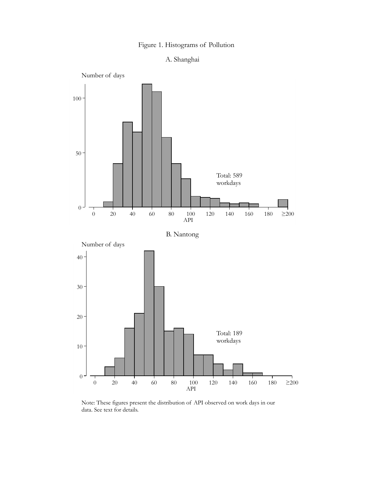# Figure 1. Histograms of Pollution





Note: These figures present the distribution of API observed on work days in our data. See text for details.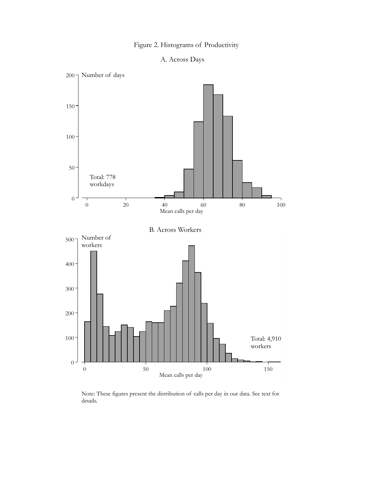# Figure 2. Histograms of Productivity





Note: These figures present the distribution of calls per day in our data. See text for details.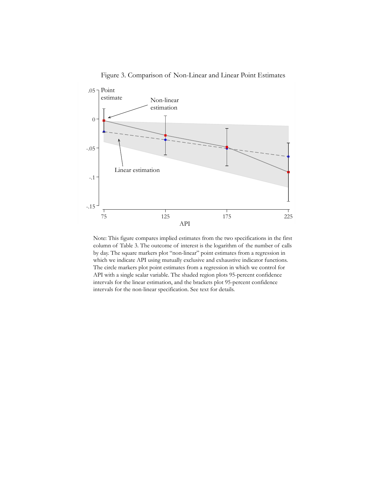



Note: This figure compares implied estimates from the two specifications in the first column of Table 3. The outcome of interest is the logarithm of the number of calls by day. The square markers plot "non-linear" point estimates from a regression in which we indicate API using mutually exclusive and exhaustive indicator functions. The circle markers plot point estimates from a regression in which we control for API with a single scalar variable. The shaded region plots 95-percent confidence intervals for the linear estimation, and the brackets plot 95-percent confidence intervals for the non-linear specification. See text for details.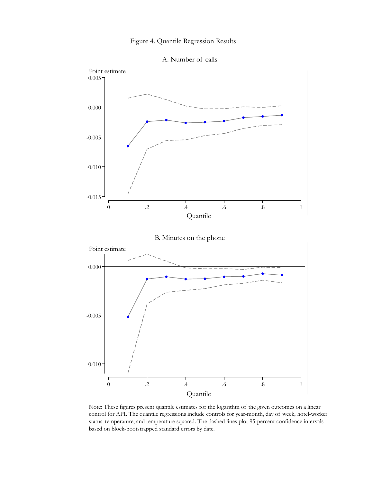



A. Number of calls

Note: These figures present quantile estimates for the logarithm of the given outcomes on a linear control for API. The quantile regressions include controls for year-month, day of week, hotel-worker status, temperature, and temperature squared. The dashed lines plot 95-percent confidence intervals based on block-bootstrapped standard errors by date.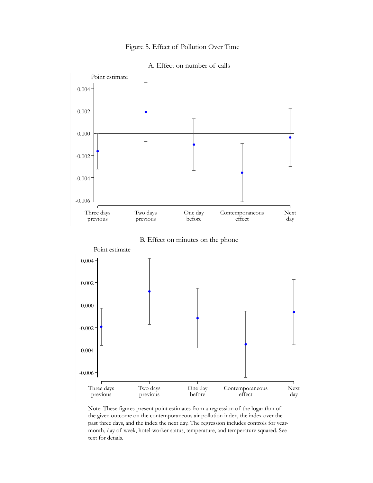



A. Effect on number of calls





Note: These figures present point estimates from a regression of the logarithm of the given outcome on the contemporaneous air pollution index, the index over the past three days, and the index the next day. The regression includes controls for yearmonth, day of week, hotel-worker status, temperature, and temperature squared. See text for details.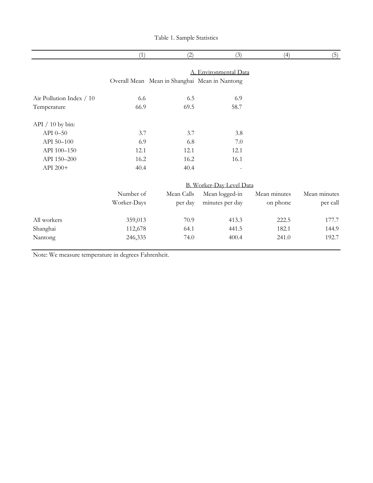|                          | (1)                      | (2)        | (3)                                           | (4)          | (5)          |  |
|--------------------------|--------------------------|------------|-----------------------------------------------|--------------|--------------|--|
|                          | A. Environmental Data    |            |                                               |              |              |  |
|                          |                          |            | Overall Mean Mean in Shanghai Mean in Nantong |              |              |  |
| Air Pollution Index / 10 | 6.6                      | 6.5        | 6.9                                           |              |              |  |
| Temperature              | 66.9                     | 69.5       | 58.7                                          |              |              |  |
| $API / 10$ by bin:       |                          |            |                                               |              |              |  |
| API 0-50                 | 3.7                      | 3.7        | 3.8                                           |              |              |  |
| API 50-100               | 6.9                      | 6.8        | 7.0                                           |              |              |  |
| API 100-150              | 12.1                     | 12.1       | 12.1                                          |              |              |  |
| API 150-200              | 16.2                     | 16.2       | 16.1                                          |              |              |  |
| API $200+$               | 40.4                     | 40.4       |                                               |              |              |  |
|                          | B. Worker-Day Level Data |            |                                               |              |              |  |
|                          | Number of                | Mean Calls | Mean logged-in                                | Mean minutes | Mean minutes |  |
|                          | Worker-Days              | per day    | minutes per day                               | on phone     | per call     |  |
| All workers              | 359,013                  | 70.9       | 413.3                                         | 222.5        | 177.7        |  |
| Shanghai                 | 112,678                  | 64.1       | 441.5                                         | 182.1        | 144.9        |  |
| Nantong                  | 246,335                  | 74.0       | 400.4                                         | 241.0        | 192.7        |  |

Table 1. Sample Statistics

Note: We measure temperature in degrees Fahrenheit.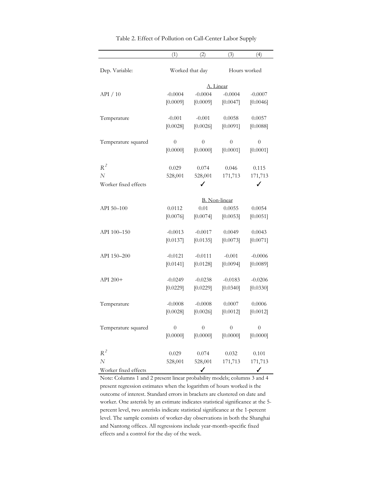|                      | (1)             | (2)          | (3)            | (4)              |
|----------------------|-----------------|--------------|----------------|------------------|
| Dep. Variable:       | Worked that day |              | Hours worked   |                  |
|                      |                 | A. Linear    |                |                  |
| API / 10             | $-0.0004$       | $-0.0004$    | $-0.0004$      | $-0.0007$        |
|                      | [0.0009]        | [0.0009]     | [0.0047]       | [0.0046]         |
| Temperature          | $-0.001$        | $-0.001$     | 0.0058         | 0.0057           |
|                      | [0.0028]        | [0.0026]     | [0.0091]       | [0.0088]         |
| Temperature squared  | $\theta$        | 0            | $\overline{0}$ | $\theta$         |
|                      | [0.0000]        | [0.0000]     | [0.0001]       | [0.0001]         |
| $R^2$                | 0.029           | 0.074        | 0.046          | 0.115            |
| $\cal N$             | 528,001         | 528,001      | 171,713        | 171,713          |
| Worker fixed effects |                 | $\checkmark$ |                | ✓                |
|                      |                 |              | B. Non-linear  |                  |
| API 50-100           | 0.0112          | 0.01         | 0.0055         | 0.0054           |
|                      | [0.0076]        | [0.0074]     | [0.0053]       | [0.0051]         |
| API 100-150          | $-0.0013$       | $-0.0017$    | 0.0049         | 0.0043           |
|                      | [0.0137]        | [0.0135]     | [0.0073]       | [0.0071]         |
| API 150-200          | $-0.0121$       | $-0.0111$    | $-0.001$       | $-0.0006$        |
|                      | [0.0141]        | [0.0128]     | [0.0094]       | [0.0089]         |
| API 200+             | $-0.0249$       | $-0.0238$    | $-0.0183$      | $-0.0206$        |
|                      | [0.0229]        | [0.0229]     | [0.0340]       | [0.0330]         |
| Temperature          | $-0.0008$       | $-0.0008$    | 0.0007         | 0.0006           |
|                      | [0.0028]        | [0.0026]     | [0.0012]       | [0.0012]         |
| Temperature squared  | $\overline{0}$  | 0            | 0              | $\boldsymbol{0}$ |
|                      | [0.0000]        | [0.0000]     | [0.0000]       | [0.0000]         |
| $R^2$                | 0.029           | 0.074        | 0.032          | 0.101            |
| $\cal N$             | 528,001         | 528,001      | 171,713        | 171,713          |
| Worker fixed effects |                 | ✓            |                | ✓                |

Table 2. Effect of Pollution on Call-Center Labor Supply

Note: Columns 1 and 2 present linear probability models; columns 3 and 4 present regression estimates when the logarithm of hours worked is the outcome of interest. Standard errors in brackets are clustered on date and worker. One asterisk by an estimate indicates statistical significance at the 5 percent level, two asterisks indicate statistical significance at the 1-percent level. The sample consists of worker-day observations in both the Shanghai and Nantong offices. All regressions include year-month-specific fixed effects and a control for the day of the week.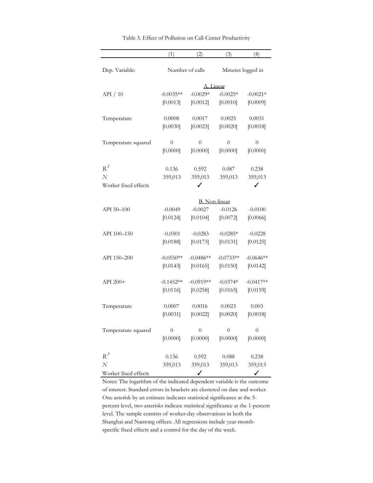|                      | (1)                  | (2)              | (3)               | (4)              |  |
|----------------------|----------------------|------------------|-------------------|------------------|--|
| Dep. Variable:       | Number of calls      |                  | Minutes logged in |                  |  |
|                      | A. Linear            |                  |                   |                  |  |
| API / 10             | $-0.0035**$          | $-0.0029*$       | $-0.0025*$        | $-0.0021*$       |  |
|                      | [0.0013]             | [0.0012]         | [0.0010]          | [0.0009]         |  |
| Temperature          | 0.0008               | 0.0017           | 0.0025            | 0.0031           |  |
|                      | [0.0030]             | [0.0023]         | [0.0020]          | [0.0018]         |  |
| Temperature squared  | $\boldsymbol{0}$     | $\boldsymbol{0}$ | $\boldsymbol{0}$  | $\boldsymbol{0}$ |  |
|                      | [0.0000]             | [0.0000]         | [0.0000]          | [0.0000]         |  |
| $R^2$                | 0.136                | 0.592            | 0.087             | 0.238            |  |
| $\cal N$             | 359,013              | 359,013          | 359,013           | 359,013          |  |
| Worker fixed effects |                      | ✓                |                   | ✓                |  |
|                      | <b>B.</b> Non-linear |                  |                   |                  |  |
| API 50-100           | $-0.0049$            | $-0.0027$        | $-0.0126$         | $-0.0100$        |  |
|                      | [0.0124]             | [0.0104]         | [0.0072]          | [0.0066]         |  |
| API 100-150          | $-0.0301$            | $-0.0283$        | $-0.0285*$        | $-0.0228$        |  |
|                      | [0.0188]             | [0.0173]         | [0.0131]          | [0.0125]         |  |
| API 150-200          | $-0.0550**$          | $-0.0486**$      | $-0.0733**$       | $-0.0646**$      |  |
|                      | [0.0143]             | [0.0165]         | [0.0150]          | [0.0142]         |  |
| API 200+             | $-0.1452**$          | $-0.0919**$      | $-0.0374*$        | $-0.0417**$      |  |
|                      | [0.0116]             | [0.0258]         | [0.0165]          | [0.0159]         |  |
| Temperature          | 0.0007               | 0.0016           | 0.0023            | 0.003            |  |
|                      | [0.0031]             | [0.0022]         | [0.0020]          | [0.0018]         |  |
| Temperature squared  | 0                    | 0                | $\boldsymbol{0}$  | 0                |  |
|                      | [0.0000]             | [0.0000]         | [0.0000]          | [0.0000]         |  |
| $R^2$                | 0.136                | 0.592            | 0.088             | 0.238            |  |
| $\cal N$             | 359,013              | 359,013          | 359,013           | 359,013          |  |
| Worker fixed effects |                      |                  | ✓                 |                  |  |

Table 3. Effect of Pollution on Call-Center Productivity

Notes: The logarithm of the indicated dependent variable is the outcome of interest. Standard errors in brackets are clustered on date and worker. One asterisk by an estimate indicates statistical significance at the 5 percent level, two asterisks indicate statistical significance at the 1-percent level. The sample consists of worker-day observations in both the Shanghai and Nantong offices. All regressions include year-monthspecific fixed effects and a control for the day of the week.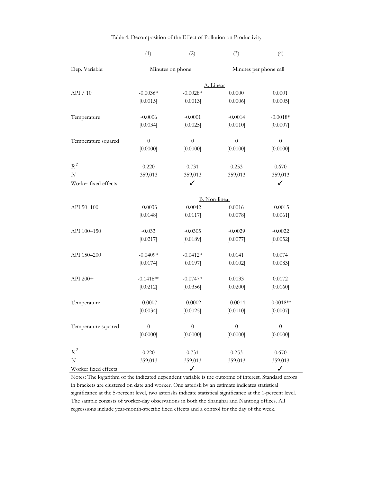|                      | (1)              | (2)              | (3)              | (4)                    |  |  |
|----------------------|------------------|------------------|------------------|------------------------|--|--|
| Dep. Variable:       |                  | Minutes on phone |                  | Minutes per phone call |  |  |
|                      |                  | A. Linear        |                  |                        |  |  |
| API / 10             | $-0.0036*$       | $-0.0028*$       | 0.0000           | 0.0001                 |  |  |
|                      | [0.0015]         | [0.0013]         | [0.0006]         | [0.0005]               |  |  |
| Temperature          | $-0.0006$        | $-0.0001$        | $-0.0014$        | $-0.0018*$             |  |  |
|                      | [0.0034]         | [0.0025]         | [0.0010]         | [0.0007]               |  |  |
| Temperature squared  | $\overline{0}$   | $\theta$         | $\theta$         | $\boldsymbol{0}$       |  |  |
|                      | [0.0000]         | [0.0000]         | [0.0000]         | [0.0000]               |  |  |
| $R^2$                | 0.220            | 0.731            | 0.253            | 0.670                  |  |  |
| $\overline{N}$       | 359,013          | 359,013          | 359,013          | 359,013                |  |  |
| Worker fixed effects |                  | $\checkmark$     |                  | ✓                      |  |  |
|                      |                  |                  | B. Non-linear    |                        |  |  |
| API 50-100           | $-0.0033$        | $-0.0042$        | 0.0016           | $-0.0015$              |  |  |
|                      | [0.0148]         | [0.0117]         | [0.0078]         | [0.0061]               |  |  |
| API 100-150          | $-0.033$         | $-0.0305$        | $-0.0029$        | $-0.0022$              |  |  |
|                      | [0.0217]         | [0.0189]         | [0.0077]         | [0.0052]               |  |  |
| API 150-200          | $-0.0409*$       | $-0.0412*$       | 0.0141           | 0.0074                 |  |  |
|                      | [0.0174]         | [0.0197]         | [0.0102]         | [0.0083]               |  |  |
| API 200+             | $-0.1418**$      | $-0.0747*$       | 0.0033           | 0.0172                 |  |  |
|                      | [0.0212]         | [0.0356]         | [0.0200]         | [0.0160]               |  |  |
| Temperature          | $-0.0007$        | $-0.0002$        | $-0.0014$        | $-0.0018**$            |  |  |
|                      | [0.0034]         | [0.0025]         | [0.0010]         | [0.0007]               |  |  |
| Temperature squared  | $\boldsymbol{0}$ | $\boldsymbol{0}$ | $\boldsymbol{0}$ | $\boldsymbol{0}$       |  |  |
|                      | [0.0000]         | [0.0000]         | [0.0000]         | [0.0000]               |  |  |
| $R^2$                | 0.220            | 0.731            | 0.253            | 0.670                  |  |  |
| $\cal N$             | 359,013          | 359,013          | 359,013          | 359,013                |  |  |
| Worker fixed effects |                  | ✓                |                  | $\checkmark$           |  |  |

Table 4. Decomposition of the Effect of Pollution on Productivity

Notes: The logarithm of the indicated dependent variable is the outcome of interest. Standard errors in brackets are clustered on date and worker. One asterisk by an estimate indicates statistical significance at the 5-percent level, two asterisks indicate statistical significance at the 1-percent level. The sample consists of worker-day observations in both the Shanghai and Nantong offices. All regressions include year-month-specific fixed effects and a control for the day of the week.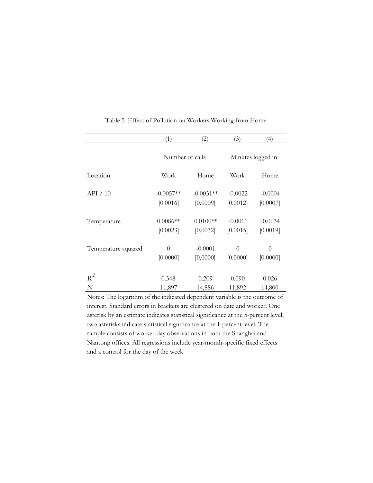|                     | (1)             | (2)         | (3)               | (4)       |
|---------------------|-----------------|-------------|-------------------|-----------|
|                     | Number of calls |             | Minutes logged in |           |
| Location            | Work            | Home        | Work              | Home      |
| API / 10            | $-0.0057**$     | $-0.0031**$ | $-0.0022$         | $-0.0004$ |
|                     | [0.0016]        | [0.0009]    | [0.0012]          | [0.0007]  |
| Temperature         | $0.0086**$      | $0.0100**$  | $-0.0011$         | $-0.0034$ |
|                     | [0.0023]        | [0.0032]    | [0.0015]          | [0.0019]  |
| Temperature squared | $\theta$        | $-0.0001$   | $\theta$          | $\theta$  |
|                     | [0.0000]        | [0.0000]    | [0.0000]          | [0.0000]  |
| $R^2$               | 0.348           | 0.209       | 0.090             | 0.026     |
| N                   | 11,897          | 14,886      | 11,892            | 14,800    |

Table 5. Effect of Pollution on Workers Working from Home

Notes: The logarithm of the indicated dependent variable is the outcome of interest. Standard errors in brackets are clustered on date and worker. One asterisk by an estimate indicates statistical significance at the 5-percent level, two asterisks indicate statistical significance at the 1-percent level. The sample consists of worker-day observations in both the Shanghai and Nantong offices. All regressions include year-month-specific fixed effects and a control for the day of the week.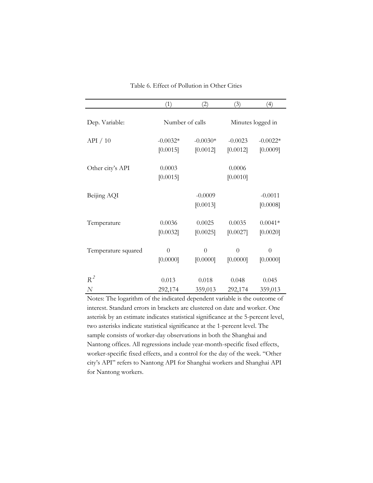|                     | (1)                | (2)                   | (3)                | (4)                   |
|---------------------|--------------------|-----------------------|--------------------|-----------------------|
| Dep. Variable:      | Number of calls    |                       | Minutes logged in  |                       |
| API / 10            | $-0.0032*$         | $-0.0030*$            | $-0.0023$          | $-0.0022*$            |
|                     | [0.0015]           | [0.0012]              | [0.0012]           | [0.0009]              |
| Other city's API    | 0.0003<br>[0.0015] |                       | 0.0006<br>[0.0010] |                       |
| Beijing AQI         |                    | $-0.0009$<br>[0.0013] |                    | $-0.0011$<br>[0.0008] |
| Temperature         | 0.0036             | 0.0025                | 0.0035             | $0.0041*$             |
|                     | [0.0032]           | [0.0025]              | [0.0027]           | [0.0020]              |
| Temperature squared | $\theta$           | $\overline{0}$        | $\overline{0}$     | $\overline{0}$        |
|                     | [0.0000]           | [0.0000]              | [0.0000]           | [0.0000]              |
| $R^2$               | 0.013              | 0.018                 | 0.048              | 0.045                 |
| $\cal N$            | 292,174            | 359,013               | 292,174            | 359,013               |

Table 6. Effect of Pollution in Other Cities

Notes: The logarithm of the indicated dependent variable is the outcome of interest. Standard errors in brackets are clustered on date and worker. One asterisk by an estimate indicates statistical significance at the 5-percent level, two asterisks indicate statistical significance at the 1-percent level. The sample consists of worker-day observations in both the Shanghai and Nantong offices. All regressions include year-month-specific fixed effects, worker-specific fixed effects, and a control for the day of the week. "Other city's API" refers to Nantong API for Shanghai workers and Shanghai API for Nantong workers.